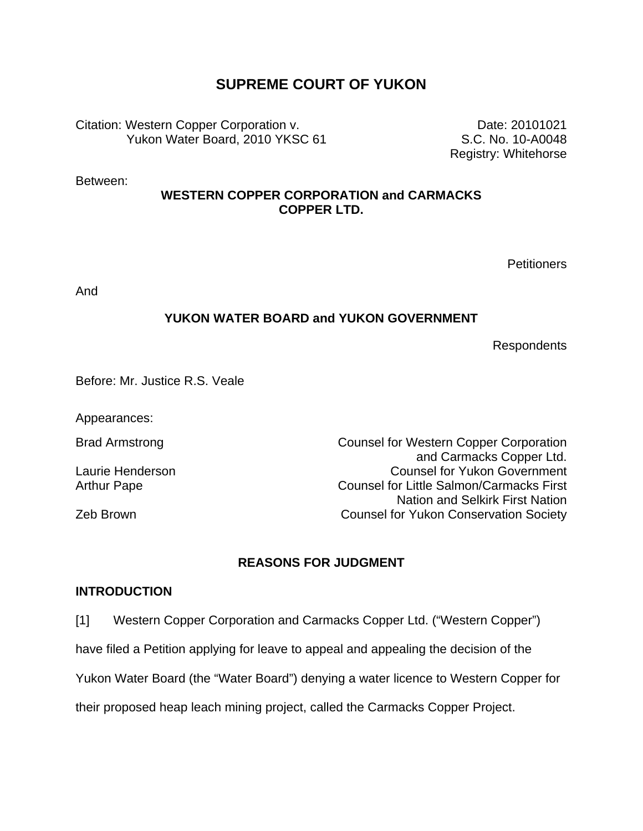# **SUPREME COURT OF YUKON**

Citation: Western Copper Corporation v. Yukon Water Board, 2010 YKSC 61

Between:

### **WESTERN COPPER CORPORATION and CARMACKS COPPER LTD.**

**Petitioners** 

Date: 20101021 S.C. No. 10-A0048 Registry: Whitehorse

And

### **YUKON WATER BOARD and YUKON GOVERNMENT**

Respondents

Before: Mr. Justice R.S. Veale

Appearances:

Brad Armstrong **Counsel for Western Copper Corporation** and Carmacks Copper Ltd. Laurie Henderson Counsel for Yukon Government Arthur Pape **Counsel for Little Salmon/Carmacks First** Nation and Selkirk First Nation Zeb Brown Counsel for Yukon Conservation Society

# **REASONS FOR JUDGMENT**

### **INTRODUCTION**

[1] Western Copper Corporation and Carmacks Copper Ltd. ("Western Copper")

have filed a Petition applying for leave to appeal and appealing the decision of the

Yukon Water Board (the "Water Board") denying a water licence to Western Copper for

their proposed heap leach mining project, called the Carmacks Copper Project.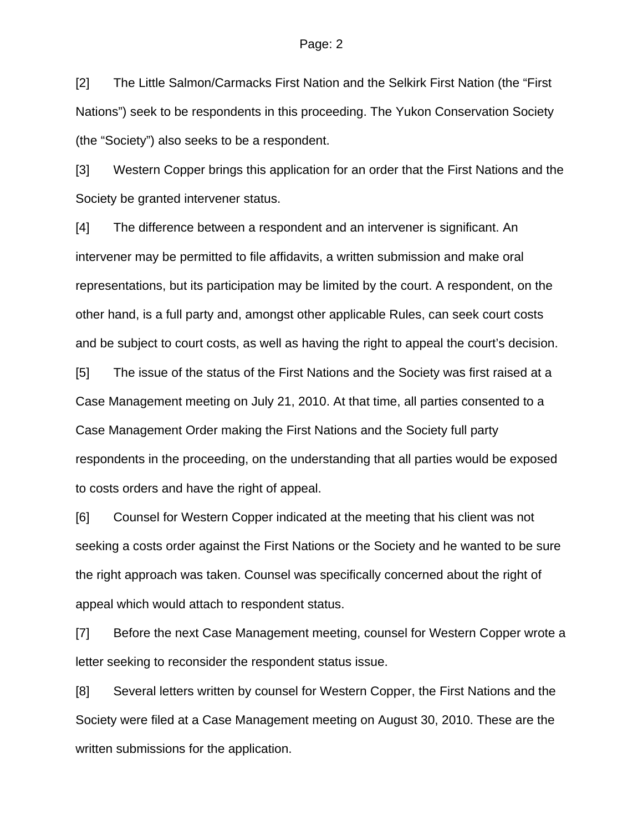[2] The Little Salmon/Carmacks First Nation and the Selkirk First Nation (the "First Nations") seek to be respondents in this proceeding. The Yukon Conservation Society (the "Society") also seeks to be a respondent.

[3] Western Copper brings this application for an order that the First Nations and the Society be granted intervener status.

[4] The difference between a respondent and an intervener is significant. An intervener may be permitted to file affidavits, a written submission and make oral representations, but its participation may be limited by the court. A respondent, on the other hand, is a full party and, amongst other applicable Rules, can seek court costs and be subject to court costs, as well as having the right to appeal the court's decision.

[5] The issue of the status of the First Nations and the Society was first raised at a Case Management meeting on July 21, 2010. At that time, all parties consented to a Case Management Order making the First Nations and the Society full party respondents in the proceeding, on the understanding that all parties would be exposed to costs orders and have the right of appeal.

[6] Counsel for Western Copper indicated at the meeting that his client was not seeking a costs order against the First Nations or the Society and he wanted to be sure the right approach was taken. Counsel was specifically concerned about the right of appeal which would attach to respondent status.

[7] Before the next Case Management meeting, counsel for Western Copper wrote a letter seeking to reconsider the respondent status issue.

[8] Several letters written by counsel for Western Copper, the First Nations and the Society were filed at a Case Management meeting on August 30, 2010. These are the written submissions for the application.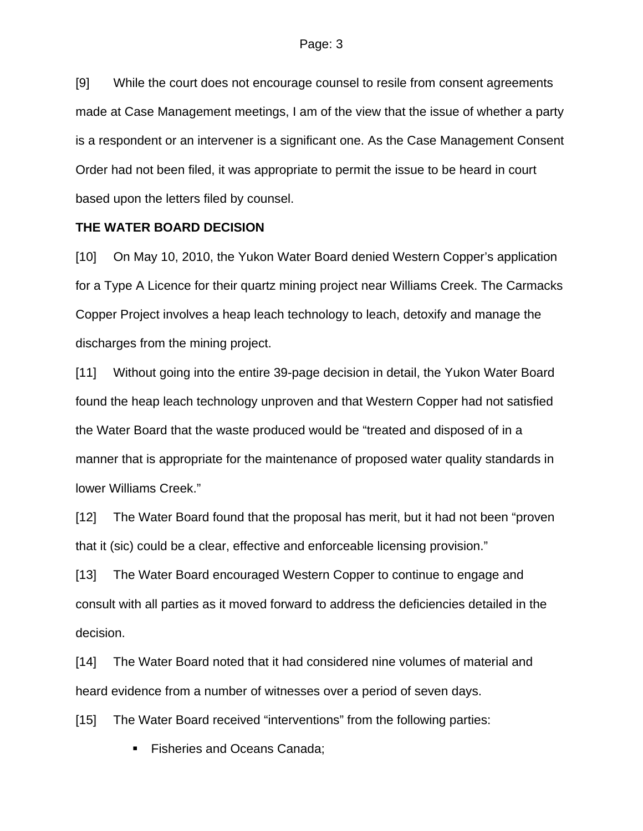[9] While the court does not encourage counsel to resile from consent agreements made at Case Management meetings, I am of the view that the issue of whether a party is a respondent or an intervener is a significant one. As the Case Management Consent Order had not been filed, it was appropriate to permit the issue to be heard in court based upon the letters filed by counsel.

#### **THE WATER BOARD DECISION**

[10] On May 10, 2010, the Yukon Water Board denied Western Copper's application for a Type A Licence for their quartz mining project near Williams Creek. The Carmacks Copper Project involves a heap leach technology to leach, detoxify and manage the discharges from the mining project.

[11] Without going into the entire 39-page decision in detail, the Yukon Water Board found the heap leach technology unproven and that Western Copper had not satisfied the Water Board that the waste produced would be "treated and disposed of in a manner that is appropriate for the maintenance of proposed water quality standards in lower Williams Creek."

[12] The Water Board found that the proposal has merit, but it had not been "proven that it (sic) could be a clear, effective and enforceable licensing provision."

[13] The Water Board encouraged Western Copper to continue to engage and consult with all parties as it moved forward to address the deficiencies detailed in the decision.

[14] The Water Board noted that it had considered nine volumes of material and heard evidence from a number of witnesses over a period of seven days.

[15] The Water Board received "interventions" from the following parties:

**Fisheries and Oceans Canada;**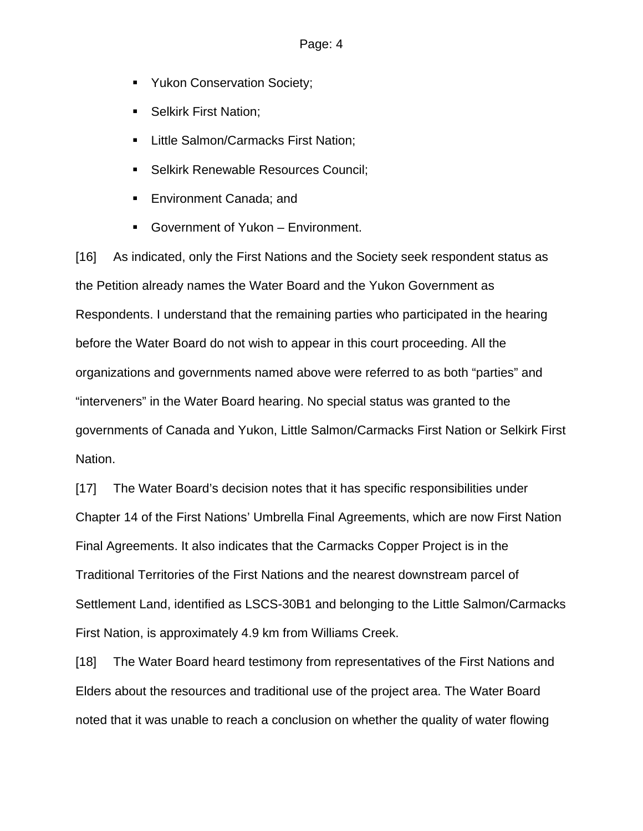- **Yukon Conservation Society;**
- **Selkirk First Nation;**
- **Little Salmon/Carmacks First Nation;**
- **Selkirk Renewable Resources Council;**
- **Environment Canada; and**
- Government of Yukon Environment.

[16] As indicated, only the First Nations and the Society seek respondent status as the Petition already names the Water Board and the Yukon Government as Respondents. I understand that the remaining parties who participated in the hearing before the Water Board do not wish to appear in this court proceeding. All the organizations and governments named above were referred to as both "parties" and "interveners" in the Water Board hearing. No special status was granted to the governments of Canada and Yukon, Little Salmon/Carmacks First Nation or Selkirk First Nation.

[17] The Water Board's decision notes that it has specific responsibilities under Chapter 14 of the First Nations' Umbrella Final Agreements, which are now First Nation Final Agreements. It also indicates that the Carmacks Copper Project is in the Traditional Territories of the First Nations and the nearest downstream parcel of Settlement Land, identified as LSCS-30B1 and belonging to the Little Salmon/Carmacks First Nation, is approximately 4.9 km from Williams Creek.

[18] The Water Board heard testimony from representatives of the First Nations and Elders about the resources and traditional use of the project area. The Water Board noted that it was unable to reach a conclusion on whether the quality of water flowing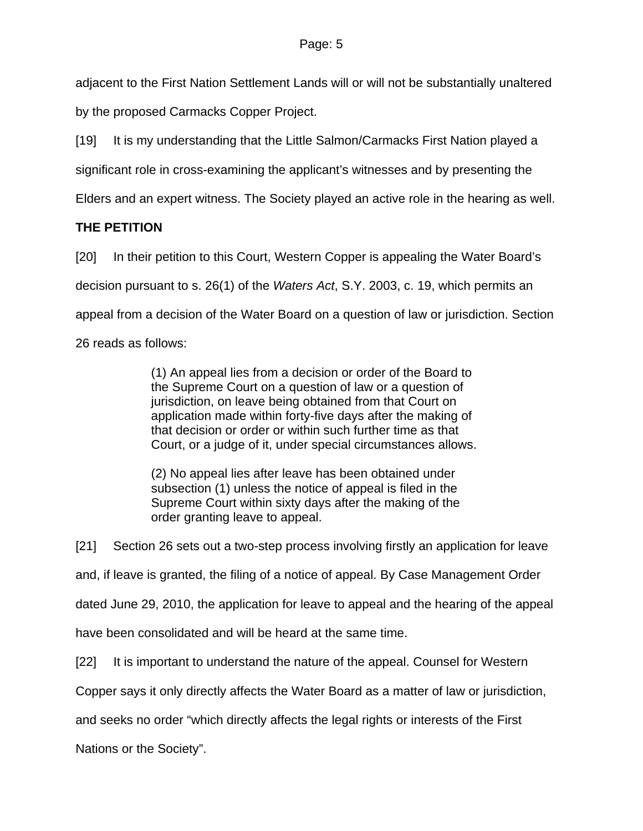adjacent to the First Nation Settlement Lands will or will not be substantially unaltered

by the proposed Carmacks Copper Project.

[19] It is my understanding that the Little Salmon/Carmacks First Nation played a

significant role in cross-examining the applicant's witnesses and by presenting the

Elders and an expert witness. The Society played an active role in the hearing as well.

# **THE PETITION**

[20] In their petition to this Court, Western Copper is appealing the Water Board's

decision pursuant to s. 26(1) of the *Waters Act*, S.Y. 2003, c. 19, which permits an

appeal from a decision of the Water Board on a question of law or jurisdiction. Section

26 reads as follows:

(1) An appeal lies from a decision or order of the Board to the Supreme Court on a question of law or a question of jurisdiction, on leave being obtained from that Court on application made within forty-five days after the making of that decision or order or within such further time as that Court, or a judge of it, under special circumstances allows.

(2) No appeal lies after leave has been obtained under subsection (1) unless the notice of appeal is filed in the Supreme Court within sixty days after the making of the order granting leave to appeal.

[21] Section 26 sets out a two-step process involving firstly an application for leave

and, if leave is granted, the filing of a notice of appeal. By Case Management Order

dated June 29, 2010, the application for leave to appeal and the hearing of the appeal

have been consolidated and will be heard at the same time.

[22] It is important to understand the nature of the appeal. Counsel for Western

Copper says it only directly affects the Water Board as a matter of law or jurisdiction,

and seeks no order "which directly affects the legal rights or interests of the First

Nations or the Society".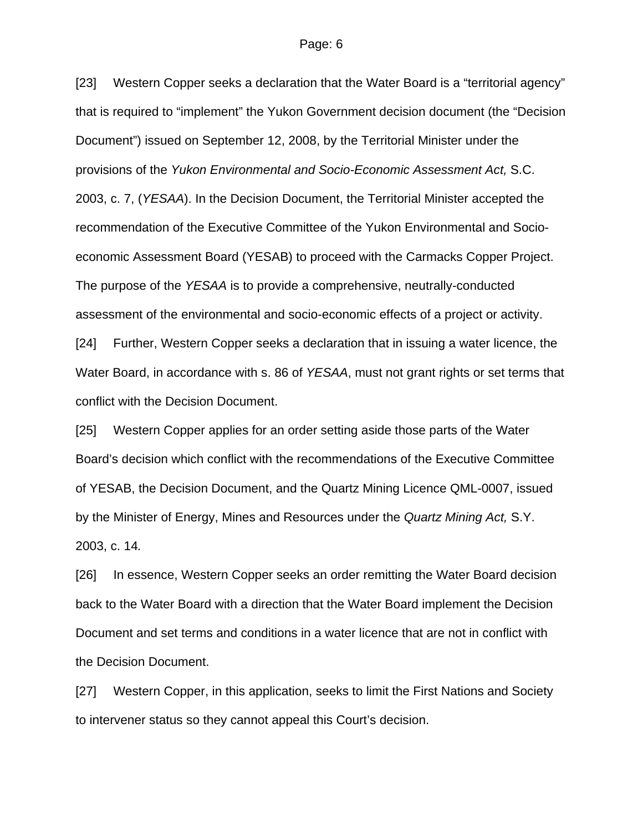#### Page: 6

[23] Western Copper seeks a declaration that the Water Board is a "territorial agency" that is required to "implement" the Yukon Government decision document (the "Decision Document") issued on September 12, 2008, by the Territorial Minister under the provisions of the *Yukon Environmental and Socio-Economic Assessment Act,* S.C. 2003, c. 7, (*YESAA*). In the Decision Document, the Territorial Minister accepted the recommendation of the Executive Committee of the Yukon Environmental and Socioeconomic Assessment Board (YESAB) to proceed with the Carmacks Copper Project. The purpose of the *YESAA* is to provide a comprehensive, neutrally-conducted assessment of the environmental and socio-economic effects of a project or activity. [24] Further, Western Copper seeks a declaration that in issuing a water licence, the

Water Board, in accordance with s. 86 of *YESAA*, must not grant rights or set terms that conflict with the Decision Document.

[25] Western Copper applies for an order setting aside those parts of the Water Board's decision which conflict with the recommendations of the Executive Committee of YESAB, the Decision Document, and the Quartz Mining Licence QML-0007, issued by the Minister of Energy, Mines and Resources under the *Quartz Mining Act,* S.Y. 2003, c. 14*.*

[26] In essence, Western Copper seeks an order remitting the Water Board decision back to the Water Board with a direction that the Water Board implement the Decision Document and set terms and conditions in a water licence that are not in conflict with the Decision Document.

[27] Western Copper, in this application, seeks to limit the First Nations and Society to intervener status so they cannot appeal this Court's decision.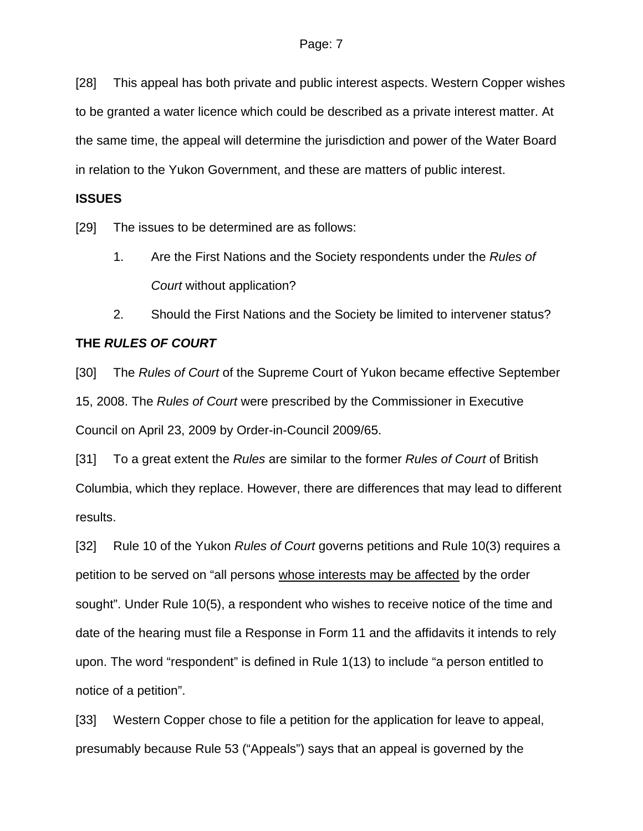[28] This appeal has both private and public interest aspects. Western Copper wishes to be granted a water licence which could be described as a private interest matter. At the same time, the appeal will determine the jurisdiction and power of the Water Board in relation to the Yukon Government, and these are matters of public interest.

#### **ISSUES**

[29] The issues to be determined are as follows:

- 1. Are the First Nations and the Society respondents under the *Rules of Court* without application?
- 2. Should the First Nations and the Society be limited to intervener status?

#### **THE** *RULES OF COURT*

[30] The *Rules of Court* of the Supreme Court of Yukon became effective September 15, 2008. The *Rules of Court* were prescribed by the Commissioner in Executive Council on April 23, 2009 by Order-in-Council 2009/65.

[31] To a great extent the *Rules* are similar to the former *Rules of Court* of British Columbia, which they replace. However, there are differences that may lead to different results.

[32] Rule 10 of the Yukon *Rules of Court* governs petitions and Rule 10(3) requires a petition to be served on "all persons whose interests may be affected by the order sought". Under Rule 10(5), a respondent who wishes to receive notice of the time and date of the hearing must file a Response in Form 11 and the affidavits it intends to rely upon. The word "respondent" is defined in Rule 1(13) to include "a person entitled to notice of a petition".

[33] Western Copper chose to file a petition for the application for leave to appeal, presumably because Rule 53 ("Appeals") says that an appeal is governed by the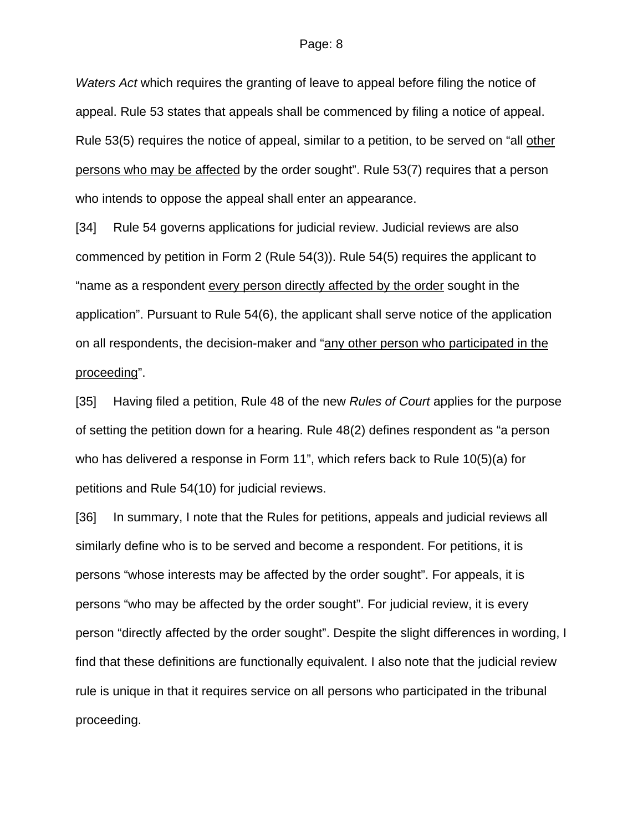*Waters Act* which requires the granting of leave to appeal before filing the notice of appeal. Rule 53 states that appeals shall be commenced by filing a notice of appeal. Rule 53(5) requires the notice of appeal, similar to a petition, to be served on "all other persons who may be affected by the order sought". Rule 53(7) requires that a person who intends to oppose the appeal shall enter an appearance.

[34] Rule 54 governs applications for judicial review. Judicial reviews are also commenced by petition in Form 2 (Rule 54(3)). Rule 54(5) requires the applicant to "name as a respondent every person directly affected by the order sought in the application". Pursuant to Rule 54(6), the applicant shall serve notice of the application on all respondents, the decision-maker and "any other person who participated in the proceeding".

[35] Having filed a petition, Rule 48 of the new *Rules of Court* applies for the purpose of setting the petition down for a hearing. Rule 48(2) defines respondent as "a person who has delivered a response in Form 11", which refers back to Rule 10(5)(a) for petitions and Rule 54(10) for judicial reviews.

[36] In summary, I note that the Rules for petitions, appeals and judicial reviews all similarly define who is to be served and become a respondent. For petitions, it is persons "whose interests may be affected by the order sought". For appeals, it is persons "who may be affected by the order sought". For judicial review, it is every person "directly affected by the order sought". Despite the slight differences in wording, I find that these definitions are functionally equivalent. I also note that the judicial review rule is unique in that it requires service on all persons who participated in the tribunal proceeding.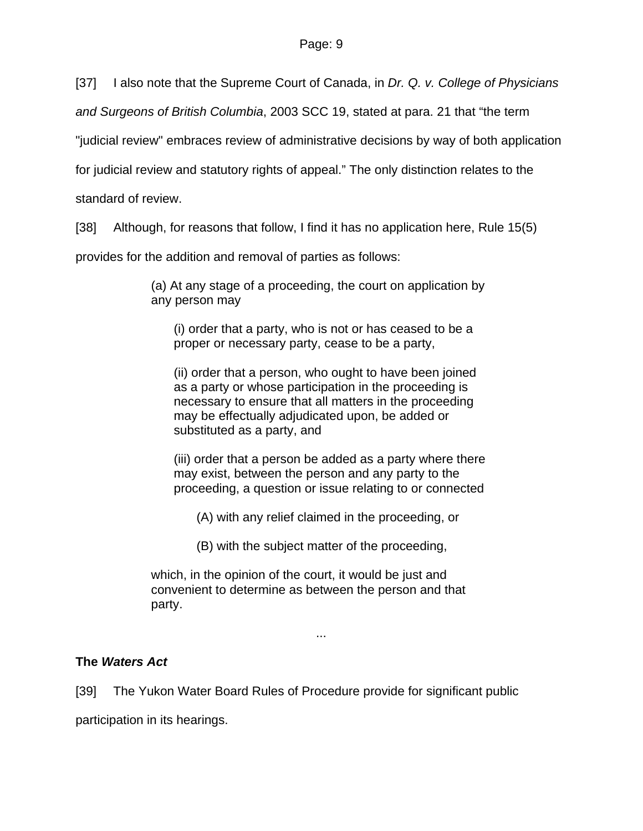[37] I also note that the Supreme Court of Canada, in *Dr. Q. v. College of Physicians* 

*and Surgeons of British Columbia*, 2003 SCC 19, stated at para. 21 that "the term

"judicial review" embraces review of administrative decisions by way of both application

for judicial review and statutory rights of appeal." The only distinction relates to the

standard of review.

[38] Although, for reasons that follow, I find it has no application here, Rule 15(5)

provides for the addition and removal of parties as follows:

(a) At any stage of a proceeding, the court on application by any person may

(i) order that a party, who is not or has ceased to be a proper or necessary party, cease to be a party,

(ii) order that a person, who ought to have been joined as a party or whose participation in the proceeding is necessary to ensure that all matters in the proceeding may be effectually adjudicated upon, be added or substituted as a party, and

(iii) order that a person be added as a party where there may exist, between the person and any party to the proceeding, a question or issue relating to or connected

(A) with any relief claimed in the proceeding, or

(B) with the subject matter of the proceeding,

which, in the opinion of the court, it would be just and convenient to determine as between the person and that party.

#### ...

# **The** *Waters Act*

[39] The Yukon Water Board Rules of Procedure provide for significant public

participation in its hearings.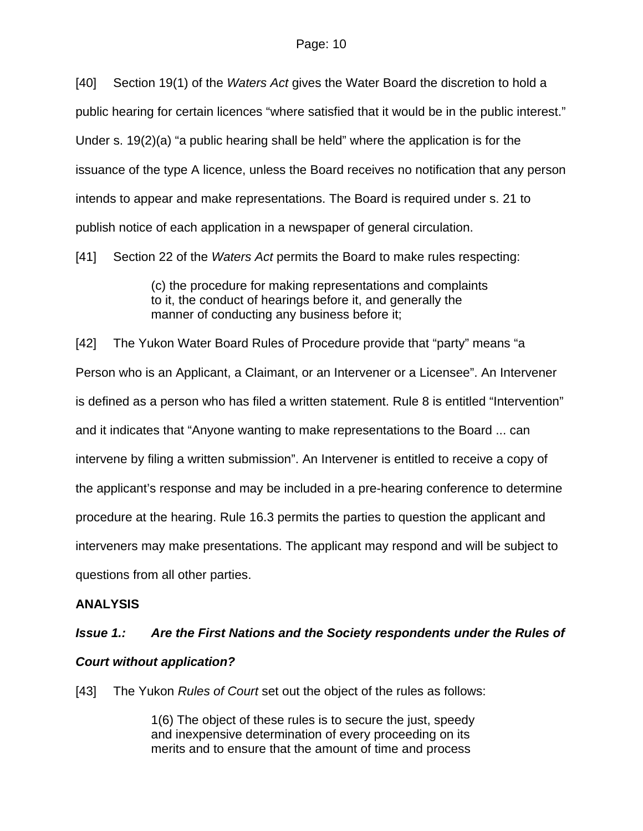[40] Section 19(1) of the *Waters Act* gives the Water Board the discretion to hold a public hearing for certain licences "where satisfied that it would be in the public interest." Under s. 19(2)(a) "a public hearing shall be held" where the application is for the issuance of the type A licence, unless the Board receives no notification that any person intends to appear and make representations. The Board is required under s. 21 to publish notice of each application in a newspaper of general circulation.

[41] Section 22 of the *Waters Act* permits the Board to make rules respecting:

(c) the procedure for making representations and complaints to it, the conduct of hearings before it, and generally the manner of conducting any business before it;

[42] The Yukon Water Board Rules of Procedure provide that "party" means "a Person who is an Applicant, a Claimant, or an Intervener or a Licensee". An Intervener is defined as a person who has filed a written statement. Rule 8 is entitled "Intervention" and it indicates that "Anyone wanting to make representations to the Board ... can intervene by filing a written submission". An Intervener is entitled to receive a copy of the applicant's response and may be included in a pre-hearing conference to determine procedure at the hearing. Rule 16.3 permits the parties to question the applicant and interveners may make presentations. The applicant may respond and will be subject to questions from all other parties.

# **ANALYSIS**

# *Issue 1.: Are the First Nations and the Society respondents under the Rules of*

# *Court without application?*

[43] The Yukon *Rules of Court* set out the object of the rules as follows:

1(6) The object of these rules is to secure the just, speedy and inexpensive determination of every proceeding on its merits and to ensure that the amount of time and process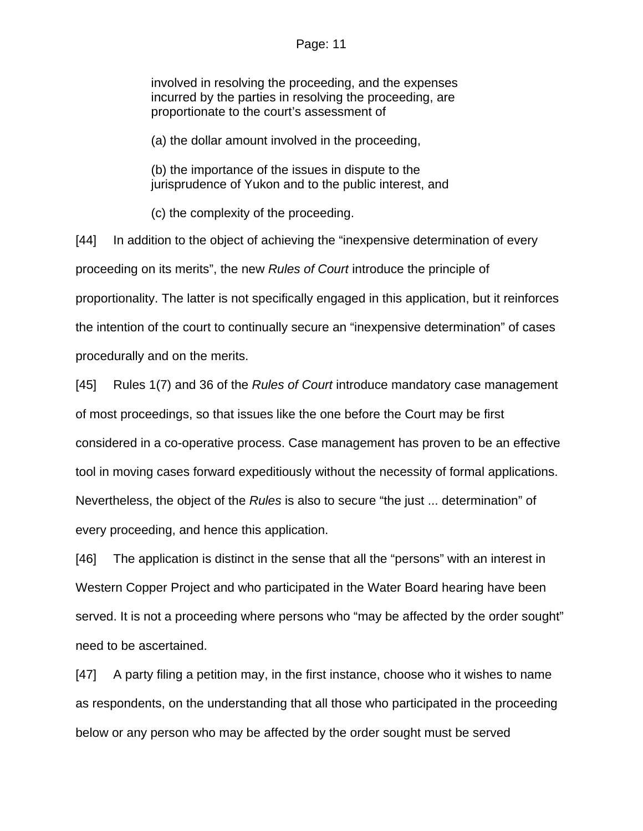#### Page: 11

involved in resolving the proceeding, and the expenses incurred by the parties in resolving the proceeding, are proportionate to the court's assessment of

(a) the dollar amount involved in the proceeding,

(b) the importance of the issues in dispute to the jurisprudence of Yukon and to the public interest, and

(c) the complexity of the proceeding.

[44] In addition to the object of achieving the "inexpensive determination of every proceeding on its merits", the new *Rules of Court* introduce the principle of proportionality. The latter is not specifically engaged in this application, but it reinforces the intention of the court to continually secure an "inexpensive determination" of cases procedurally and on the merits.

[45] Rules 1(7) and 36 of the *Rules of Court* introduce mandatory case management of most proceedings, so that issues like the one before the Court may be first considered in a co-operative process. Case management has proven to be an effective tool in moving cases forward expeditiously without the necessity of formal applications. Nevertheless, the object of the *Rules* is also to secure "the just ... determination" of every proceeding, and hence this application.

[46] The application is distinct in the sense that all the "persons" with an interest in Western Copper Project and who participated in the Water Board hearing have been served. It is not a proceeding where persons who "may be affected by the order sought" need to be ascertained.

[47] A party filing a petition may, in the first instance, choose who it wishes to name as respondents, on the understanding that all those who participated in the proceeding below or any person who may be affected by the order sought must be served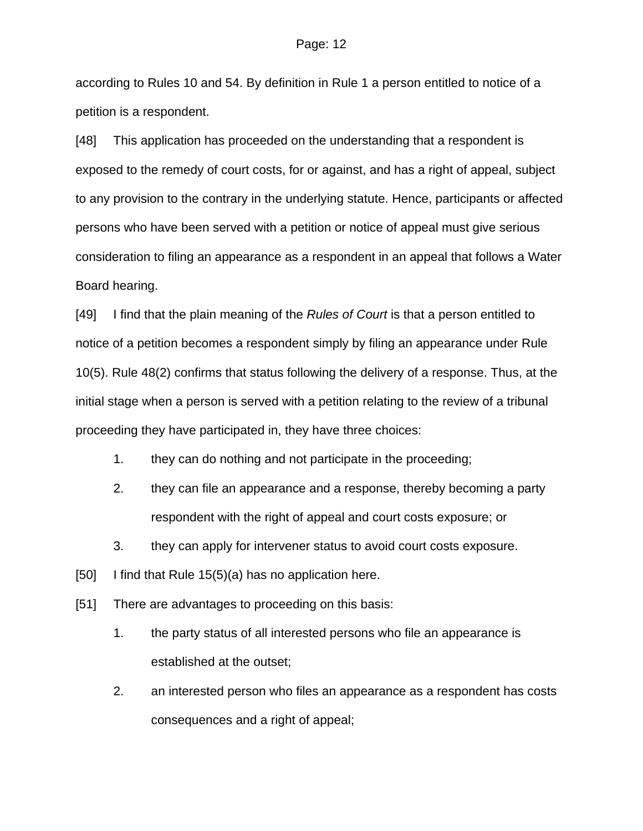according to Rules 10 and 54. By definition in Rule 1 a person entitled to notice of a petition is a respondent.

[48] This application has proceeded on the understanding that a respondent is exposed to the remedy of court costs, for or against, and has a right of appeal, subject to any provision to the contrary in the underlying statute. Hence, participants or affected persons who have been served with a petition or notice of appeal must give serious consideration to filing an appearance as a respondent in an appeal that follows a Water Board hearing.

[49] I find that the plain meaning of the *Rules of Court* is that a person entitled to notice of a petition becomes a respondent simply by filing an appearance under Rule 10(5). Rule 48(2) confirms that status following the delivery of a response. Thus, at the initial stage when a person is served with a petition relating to the review of a tribunal proceeding they have participated in, they have three choices:

- 1. they can do nothing and not participate in the proceeding;
- 2. they can file an appearance and a response, thereby becoming a party respondent with the right of appeal and court costs exposure; or
- 3. they can apply for intervener status to avoid court costs exposure.
- [50] I find that Rule 15(5)(a) has no application here.
- [51] There are advantages to proceeding on this basis:
	- 1. the party status of all interested persons who file an appearance is established at the outset;
	- 2. an interested person who files an appearance as a respondent has costs consequences and a right of appeal;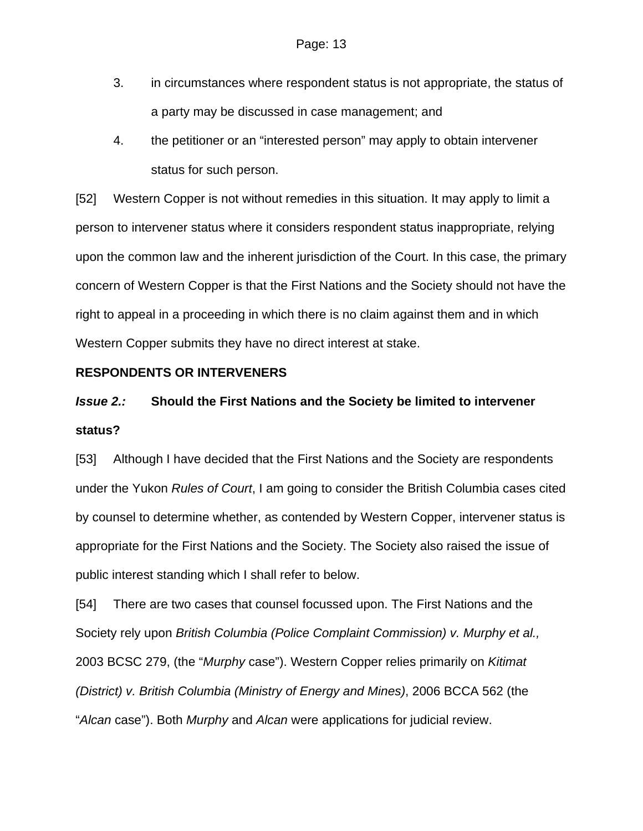- 3. in circumstances where respondent status is not appropriate, the status of a party may be discussed in case management; and
- 4. the petitioner or an "interested person" may apply to obtain intervener status for such person.

[52] Western Copper is not without remedies in this situation. It may apply to limit a person to intervener status where it considers respondent status inappropriate, relying upon the common law and the inherent jurisdiction of the Court. In this case, the primary concern of Western Copper is that the First Nations and the Society should not have the right to appeal in a proceeding in which there is no claim against them and in which Western Copper submits they have no direct interest at stake.

### **RESPONDENTS OR INTERVENERS**

# *Issue 2.:* **Should the First Nations and the Society be limited to intervener status?**

[53] Although I have decided that the First Nations and the Society are respondents under the Yukon *Rules of Court*, I am going to consider the British Columbia cases cited by counsel to determine whether, as contended by Western Copper, intervener status is appropriate for the First Nations and the Society. The Society also raised the issue of public interest standing which I shall refer to below.

[54] There are two cases that counsel focussed upon. The First Nations and the Society rely upon *British Columbia (Police Complaint Commission) v. Murphy et al.,*  2003 BCSC 279, (the "*Murphy* case"). Western Copper relies primarily on *Kitimat (District) v. British Columbia (Ministry of Energy and Mines)*, 2006 BCCA 562 (the "*Alcan* case"). Both *Murphy* and *Alcan* were applications for judicial review.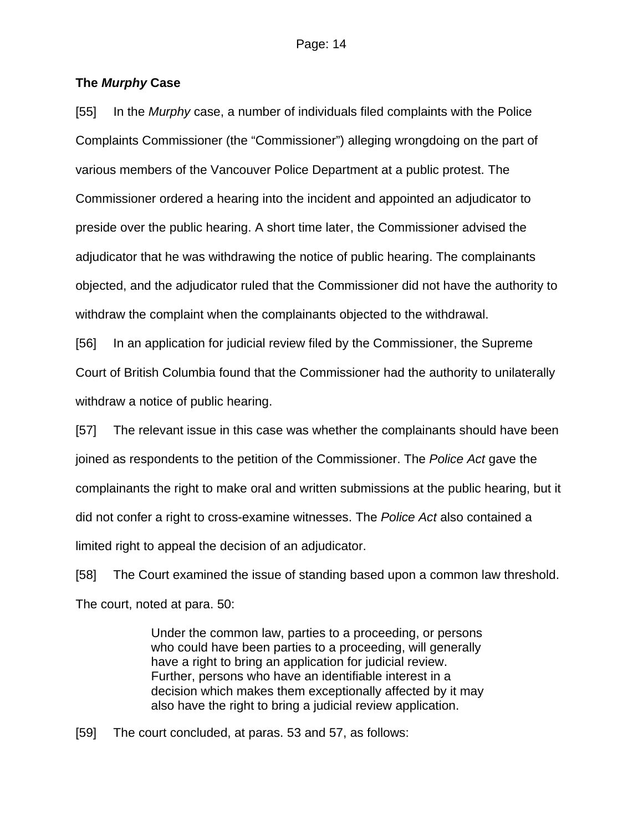### **The** *Murphy* **Case**

[55] In the *Murphy* case, a number of individuals filed complaints with the Police Complaints Commissioner (the "Commissioner") alleging wrongdoing on the part of various members of the Vancouver Police Department at a public protest. The Commissioner ordered a hearing into the incident and appointed an adjudicator to preside over the public hearing. A short time later, the Commissioner advised the adjudicator that he was withdrawing the notice of public hearing. The complainants objected, and the adjudicator ruled that the Commissioner did not have the authority to withdraw the complaint when the complainants objected to the withdrawal.

[56] In an application for judicial review filed by the Commissioner, the Supreme Court of British Columbia found that the Commissioner had the authority to unilaterally withdraw a notice of public hearing.

[57] The relevant issue in this case was whether the complainants should have been joined as respondents to the petition of the Commissioner. The *Police Act* gave the complainants the right to make oral and written submissions at the public hearing, but it did not confer a right to cross-examine witnesses. The *Police Act* also contained a limited right to appeal the decision of an adjudicator.

[58] The Court examined the issue of standing based upon a common law threshold. The court, noted at para. 50:

> Under the common law, parties to a proceeding, or persons who could have been parties to a proceeding, will generally have a right to bring an application for judicial review. Further, persons who have an identifiable interest in a decision which makes them exceptionally affected by it may also have the right to bring a judicial review application.

[59] The court concluded, at paras. 53 and 57, as follows: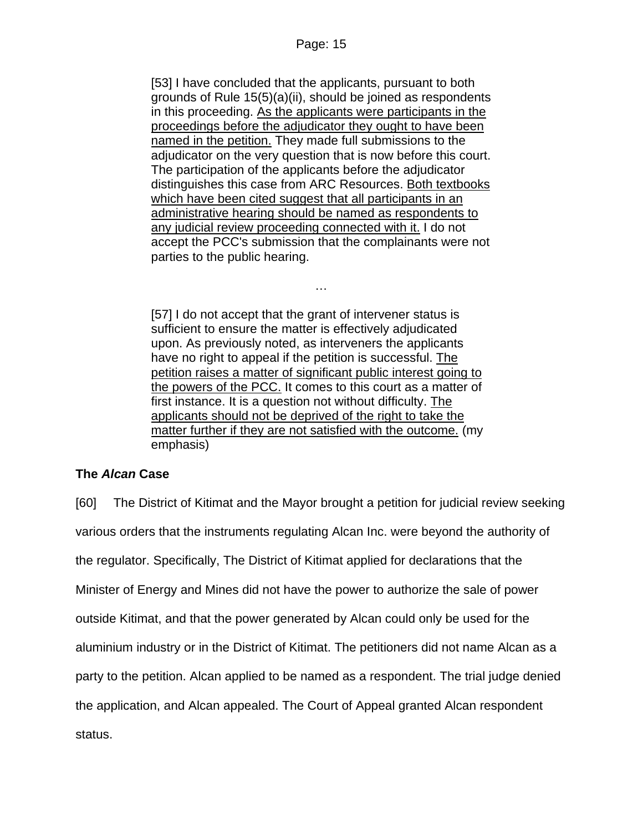[53] I have concluded that the applicants, pursuant to both grounds of Rule 15(5)(a)(ii), should be joined as respondents in this proceeding. As the applicants were participants in the proceedings before the adjudicator they ought to have been named in the petition. They made full submissions to the adjudicator on the very question that is now before this court. The participation of the applicants before the adjudicator distinguishes this case from ARC Resources. Both textbooks which have been cited suggest that all participants in an administrative hearing should be named as respondents to any judicial review proceeding connected with it. I do not accept the PCC's submission that the complainants were not parties to the public hearing.

[57] I do not accept that the grant of intervener status is sufficient to ensure the matter is effectively adjudicated upon. As previously noted, as interveners the applicants have no right to appeal if the petition is successful. The petition raises a matter of significant public interest going to the powers of the PCC. It comes to this court as a matter of first instance. It is a question not without difficulty. The applicants should not be deprived of the right to take the matter further if they are not satisfied with the outcome. (my emphasis)

…

# **The** *Alcan* **Case**

[60] The District of Kitimat and the Mayor brought a petition for judicial review seeking various orders that the instruments regulating Alcan Inc. were beyond the authority of the regulator. Specifically, The District of Kitimat applied for declarations that the Minister of Energy and Mines did not have the power to authorize the sale of power outside Kitimat, and that the power generated by Alcan could only be used for the aluminium industry or in the District of Kitimat. The petitioners did not name Alcan as a party to the petition. Alcan applied to be named as a respondent. The trial judge denied the application, and Alcan appealed. The Court of Appeal granted Alcan respondent status.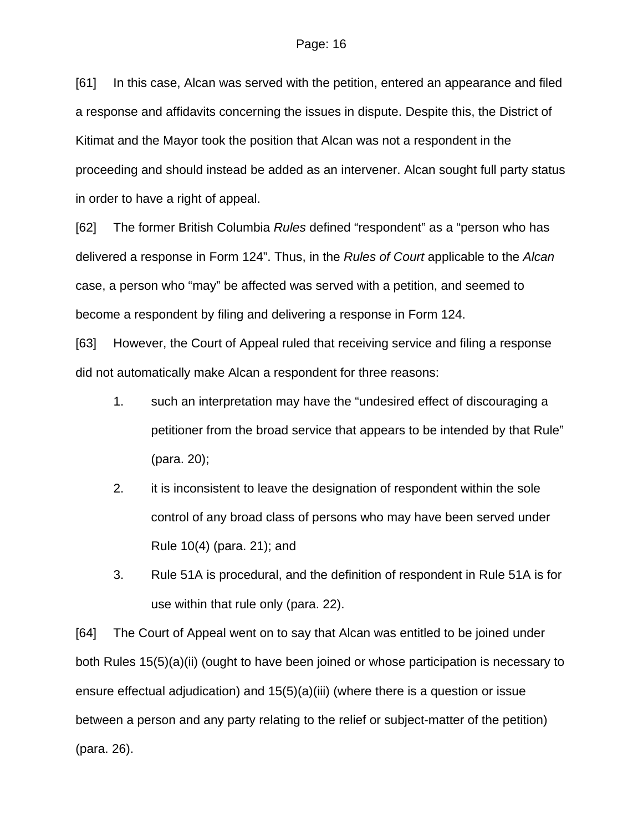[61] In this case, Alcan was served with the petition, entered an appearance and filed a response and affidavits concerning the issues in dispute. Despite this, the District of Kitimat and the Mayor took the position that Alcan was not a respondent in the proceeding and should instead be added as an intervener. Alcan sought full party status in order to have a right of appeal.

[62] The former British Columbia *Rules* defined "respondent" as a "person who has delivered a response in Form 124". Thus, in the *Rules of Court* applicable to the *Alcan* case, a person who "may" be affected was served with a petition, and seemed to become a respondent by filing and delivering a response in Form 124.

[63] However, the Court of Appeal ruled that receiving service and filing a response did not automatically make Alcan a respondent for three reasons:

- 1. such an interpretation may have the "undesired effect of discouraging a petitioner from the broad service that appears to be intended by that Rule" (para. 20);
- 2. it is inconsistent to leave the designation of respondent within the sole control of any broad class of persons who may have been served under Rule 10(4) (para. 21); and
- 3. Rule 51A is procedural, and the definition of respondent in Rule 51A is for use within that rule only (para. 22).

[64] The Court of Appeal went on to say that Alcan was entitled to be joined under both Rules 15(5)(a)(ii) (ought to have been joined or whose participation is necessary to ensure effectual adjudication) and 15(5)(a)(iii) (where there is a question or issue between a person and any party relating to the relief or subject-matter of the petition) (para. 26).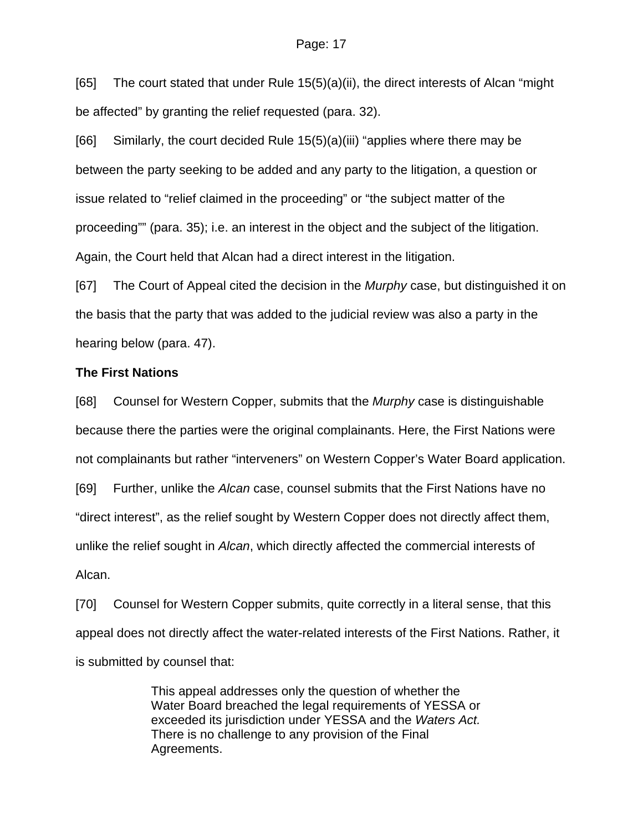#### Page: 17

[65] The court stated that under Rule 15(5)(a)(ii), the direct interests of Alcan "might be affected" by granting the relief requested (para. 32).

[66] Similarly, the court decided Rule 15(5)(a)(iii) "applies where there may be between the party seeking to be added and any party to the litigation, a question or issue related to "relief claimed in the proceeding" or "the subject matter of the proceeding"" (para. 35); i.e. an interest in the object and the subject of the litigation. Again, the Court held that Alcan had a direct interest in the litigation.

[67] The Court of Appeal cited the decision in the *Murphy* case, but distinguished it on the basis that the party that was added to the judicial review was also a party in the hearing below (para. 47).

#### **The First Nations**

[68] Counsel for Western Copper, submits that the *Murphy* case is distinguishable because there the parties were the original complainants. Here, the First Nations were not complainants but rather "interveners" on Western Copper's Water Board application. [69] Further, unlike the *Alcan* case, counsel submits that the First Nations have no "direct interest", as the relief sought by Western Copper does not directly affect them, unlike the relief sought in *Alcan*, which directly affected the commercial interests of Alcan.

[70] Counsel for Western Copper submits, quite correctly in a literal sense, that this appeal does not directly affect the water-related interests of the First Nations. Rather, it is submitted by counsel that:

> This appeal addresses only the question of whether the Water Board breached the legal requirements of YESSA or exceeded its jurisdiction under YESSA and the *Waters Act.* There is no challenge to any provision of the Final Agreements.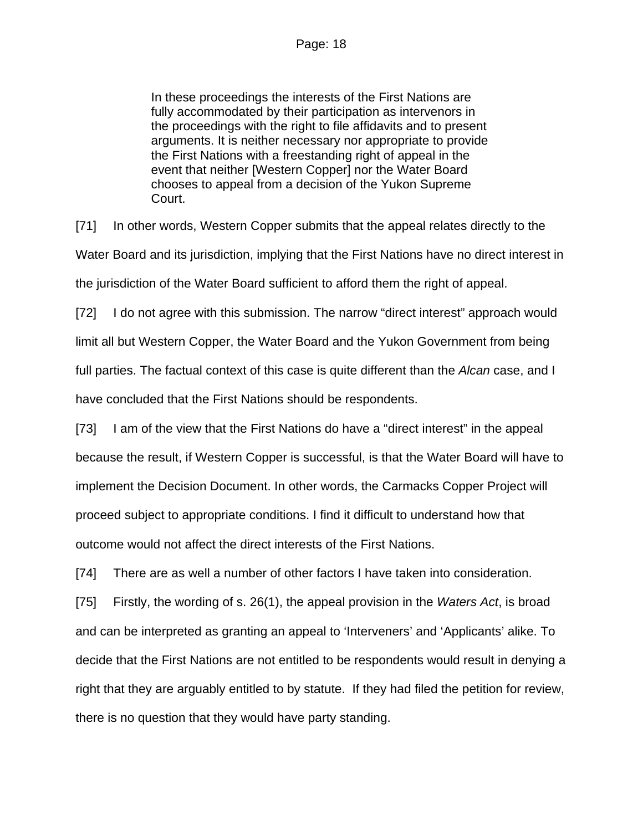In these proceedings the interests of the First Nations are fully accommodated by their participation as intervenors in the proceedings with the right to file affidavits and to present arguments. It is neither necessary nor appropriate to provide the First Nations with a freestanding right of appeal in the event that neither [Western Copper] nor the Water Board chooses to appeal from a decision of the Yukon Supreme Court.

[71] In other words, Western Copper submits that the appeal relates directly to the Water Board and its jurisdiction, implying that the First Nations have no direct interest in the jurisdiction of the Water Board sufficient to afford them the right of appeal.

[72] I do not agree with this submission. The narrow "direct interest" approach would limit all but Western Copper, the Water Board and the Yukon Government from being full parties. The factual context of this case is quite different than the *Alcan* case, and I have concluded that the First Nations should be respondents.

[73] I am of the view that the First Nations do have a "direct interest" in the appeal because the result, if Western Copper is successful, is that the Water Board will have to implement the Decision Document. In other words, the Carmacks Copper Project will proceed subject to appropriate conditions. I find it difficult to understand how that outcome would not affect the direct interests of the First Nations.

[74] There are as well a number of other factors I have taken into consideration.

[75] Firstly, the wording of s. 26(1), the appeal provision in the *Waters Act*, is broad and can be interpreted as granting an appeal to 'Interveners' and 'Applicants' alike. To decide that the First Nations are not entitled to be respondents would result in denying a right that they are arguably entitled to by statute. If they had filed the petition for review, there is no question that they would have party standing.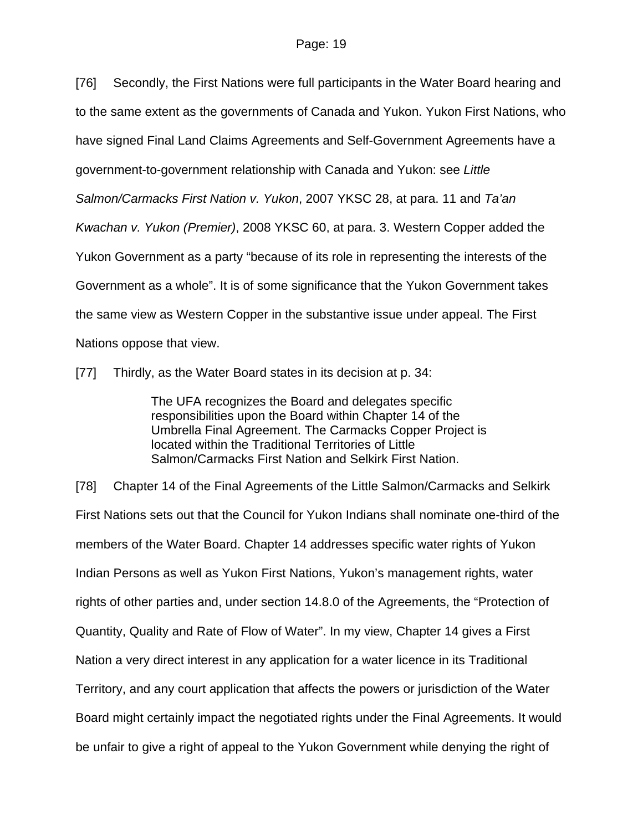[76] Secondly, the First Nations were full participants in the Water Board hearing and to the same extent as the governments of Canada and Yukon. Yukon First Nations, who have signed Final Land Claims Agreements and Self-Government Agreements have a government-to-government relationship with Canada and Yukon: see *Little Salmon/Carmacks First Nation v. Yukon*, 2007 YKSC 28, at para. 11 and *Ta'an Kwachan v. Yukon (Premier)*, 2008 YKSC 60, at para. 3. Western Copper added the Yukon Government as a party "because of its role in representing the interests of the Government as a whole". It is of some significance that the Yukon Government takes the same view as Western Copper in the substantive issue under appeal. The First Nations oppose that view.

[77] Thirdly, as the Water Board states in its decision at p. 34:

The UFA recognizes the Board and delegates specific responsibilities upon the Board within Chapter 14 of the Umbrella Final Agreement. The Carmacks Copper Project is located within the Traditional Territories of Little Salmon/Carmacks First Nation and Selkirk First Nation.

[78] Chapter 14 of the Final Agreements of the Little Salmon/Carmacks and Selkirk First Nations sets out that the Council for Yukon Indians shall nominate one-third of the members of the Water Board. Chapter 14 addresses specific water rights of Yukon Indian Persons as well as Yukon First Nations, Yukon's management rights, water rights of other parties and, under section 14.8.0 of the Agreements, the "Protection of Quantity, Quality and Rate of Flow of Water". In my view, Chapter 14 gives a First Nation a very direct interest in any application for a water licence in its Traditional Territory, and any court application that affects the powers or jurisdiction of the Water Board might certainly impact the negotiated rights under the Final Agreements. It would be unfair to give a right of appeal to the Yukon Government while denying the right of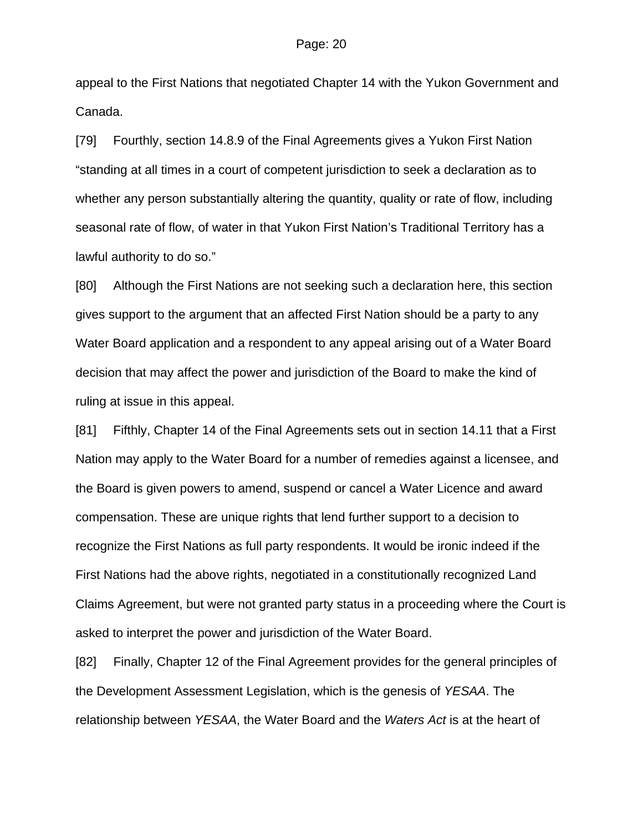appeal to the First Nations that negotiated Chapter 14 with the Yukon Government and Canada.

[79] Fourthly, section 14.8.9 of the Final Agreements gives a Yukon First Nation "standing at all times in a court of competent jurisdiction to seek a declaration as to whether any person substantially altering the quantity, quality or rate of flow, including seasonal rate of flow, of water in that Yukon First Nation's Traditional Territory has a lawful authority to do so."

[80] Although the First Nations are not seeking such a declaration here, this section gives support to the argument that an affected First Nation should be a party to any Water Board application and a respondent to any appeal arising out of a Water Board decision that may affect the power and jurisdiction of the Board to make the kind of ruling at issue in this appeal.

[81] Fifthly, Chapter 14 of the Final Agreements sets out in section 14.11 that a First Nation may apply to the Water Board for a number of remedies against a licensee, and the Board is given powers to amend, suspend or cancel a Water Licence and award compensation. These are unique rights that lend further support to a decision to recognize the First Nations as full party respondents. It would be ironic indeed if the First Nations had the above rights, negotiated in a constitutionally recognized Land Claims Agreement, but were not granted party status in a proceeding where the Court is asked to interpret the power and jurisdiction of the Water Board.

[82] Finally, Chapter 12 of the Final Agreement provides for the general principles of the Development Assessment Legislation, which is the genesis of *YESAA*. The relationship between *YESAA*, the Water Board and the *Waters Act* is at the heart of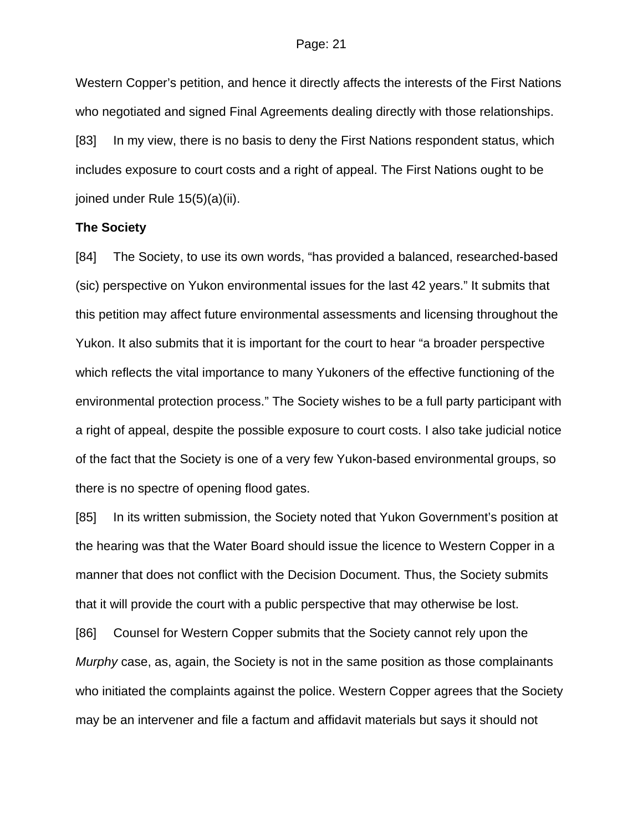Western Copper's petition, and hence it directly affects the interests of the First Nations who negotiated and signed Final Agreements dealing directly with those relationships. [83] In my view, there is no basis to deny the First Nations respondent status, which includes exposure to court costs and a right of appeal. The First Nations ought to be joined under Rule 15(5)(a)(ii).

#### **The Society**

[84] The Society, to use its own words, "has provided a balanced, researched-based (sic) perspective on Yukon environmental issues for the last 42 years." It submits that this petition may affect future environmental assessments and licensing throughout the Yukon. It also submits that it is important for the court to hear "a broader perspective which reflects the vital importance to many Yukoners of the effective functioning of the environmental protection process." The Society wishes to be a full party participant with a right of appeal, despite the possible exposure to court costs. I also take judicial notice of the fact that the Society is one of a very few Yukon-based environmental groups, so there is no spectre of opening flood gates.

[85] In its written submission, the Society noted that Yukon Government's position at the hearing was that the Water Board should issue the licence to Western Copper in a manner that does not conflict with the Decision Document. Thus, the Society submits that it will provide the court with a public perspective that may otherwise be lost.

[86] Counsel for Western Copper submits that the Society cannot rely upon the *Murphy* case, as, again, the Society is not in the same position as those complainants who initiated the complaints against the police. Western Copper agrees that the Society may be an intervener and file a factum and affidavit materials but says it should not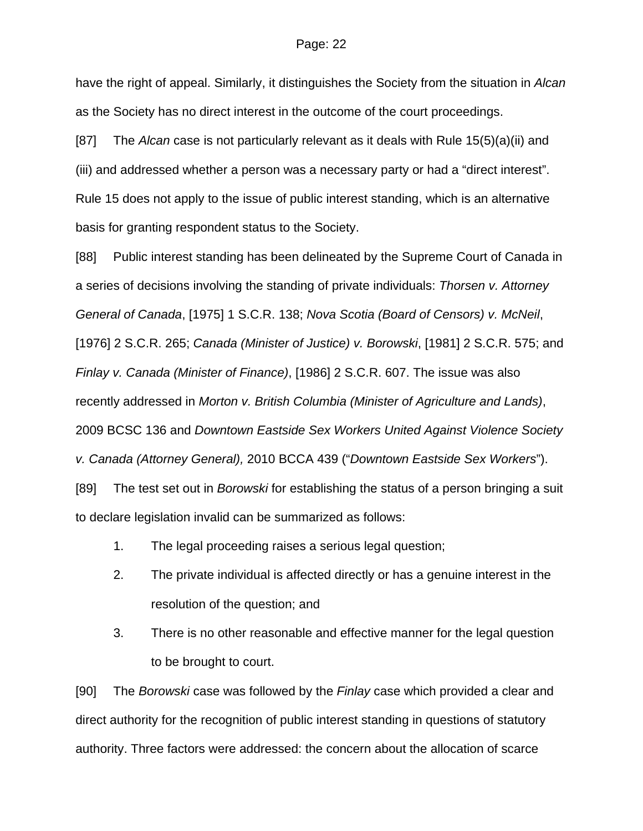#### Page: 22

have the right of appeal. Similarly, it distinguishes the Society from the situation in *Alcan*  as the Society has no direct interest in the outcome of the court proceedings.

[87] The *Alcan* case is not particularly relevant as it deals with Rule 15(5)(a)(ii) and (iii) and addressed whether a person was a necessary party or had a "direct interest". Rule 15 does not apply to the issue of public interest standing, which is an alternative basis for granting respondent status to the Society.

[88] Public interest standing has been delineated by the Supreme Court of Canada in a series of decisions involving the standing of private individuals: *Thorsen v. Attorney General of Canada*, [1975] 1 S.C.R. 138; *Nova Scotia (Board of Censors) v. McNeil*, [1976] 2 S.C.R. 265; *Canada (Minister of Justice) v. Borowski*, [1981] 2 S.C.R. 575; and *Finlay v. Canada (Minister of Finance)*, [1986] 2 S.C.R. 607. The issue was also recently addressed in *Morton v. British Columbia (Minister of Agriculture and Lands)*, 2009 BCSC 136 and *Downtown Eastside Sex Workers United Against Violence Society v. Canada (Attorney General),* 2010 BCCA 439 ("*Downtown Eastside Sex Workers*"). [89] The test set out in *Borowski* for establishing the status of a person bringing a suit to declare legislation invalid can be summarized as follows:

- 1. The legal proceeding raises a serious legal question;
- 2. The private individual is affected directly or has a genuine interest in the resolution of the question; and
- 3. There is no other reasonable and effective manner for the legal question to be brought to court.

[90] The *Borowski* case was followed by the *Finlay* case which provided a clear and direct authority for the recognition of public interest standing in questions of statutory authority. Three factors were addressed: the concern about the allocation of scarce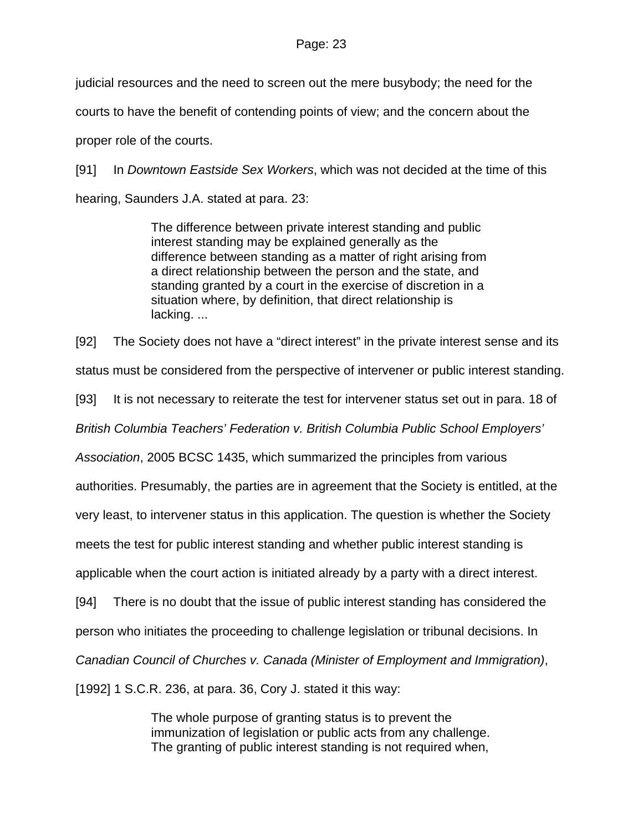judicial resources and the need to screen out the mere busybody; the need for the courts to have the benefit of contending points of view; and the concern about the proper role of the courts.

[91] In *Downtown Eastside Sex Workers*, which was not decided at the time of this hearing, Saunders J.A. stated at para. 23:

> The difference between private interest standing and public interest standing may be explained generally as the difference between standing as a matter of right arising from a direct relationship between the person and the state, and standing granted by a court in the exercise of discretion in a situation where, by definition, that direct relationship is lacking. ...

[92] The Society does not have a "direct interest" in the private interest sense and its

status must be considered from the perspective of intervener or public interest standing.

[93] It is not necessary to reiterate the test for intervener status set out in para. 18 of

*British Columbia Teachers' Federation v. British Columbia Public School Employers'* 

*Association*, 2005 BCSC 1435, which summarized the principles from various

authorities. Presumably, the parties are in agreement that the Society is entitled, at the

very least, to intervener status in this application. The question is whether the Society

meets the test for public interest standing and whether public interest standing is

applicable when the court action is initiated already by a party with a direct interest.

[94] There is no doubt that the issue of public interest standing has considered the

person who initiates the proceeding to challenge legislation or tribunal decisions. In

*Canadian Council of Churches v. Canada (Minister of Employment and Immigration)*,

[1992] 1 S.C.R. 236, at para. 36, Cory J. stated it this way:

The whole purpose of granting status is to prevent the immunization of legislation or public acts from any challenge. The granting of public interest standing is not required when,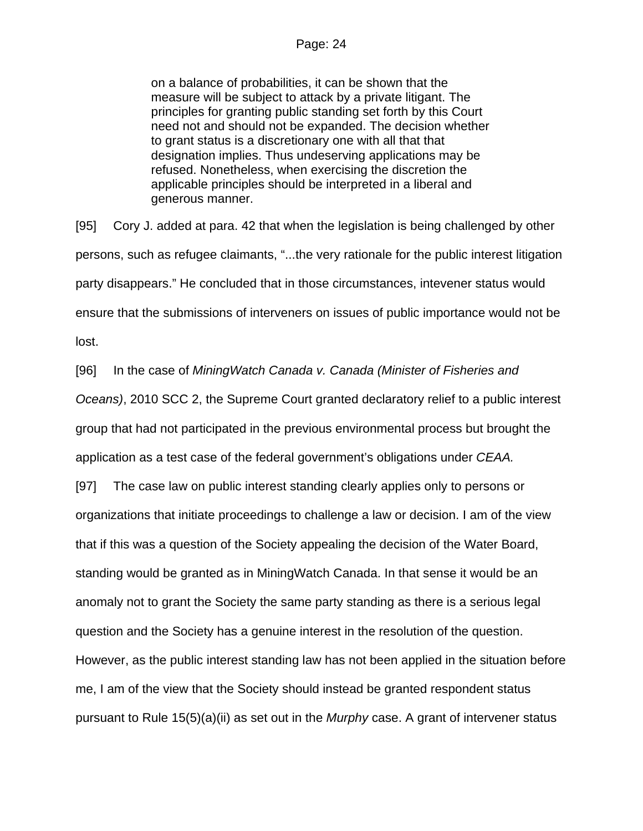on a balance of probabilities, it can be shown that the measure will be subject to attack by a private litigant. The principles for granting public standing set forth by this Court need not and should not be expanded. The decision whether to grant status is a discretionary one with all that that designation implies. Thus undeserving applications may be refused. Nonetheless, when exercising the discretion the applicable principles should be interpreted in a liberal and generous manner.

[95] Cory J. added at para. 42 that when the legislation is being challenged by other persons, such as refugee claimants, "...the very rationale for the public interest litigation party disappears." He concluded that in those circumstances, intevener status would ensure that the submissions of interveners on issues of public importance would not be lost.

[96] In the case of *MiningWatch Canada v. Canada (Minister of Fisheries and* 

*Oceans)*, 2010 SCC 2, the Supreme Court granted declaratory relief to a public interest group that had not participated in the previous environmental process but brought the application as a test case of the federal government's obligations under *CEAA.*

[97] The case law on public interest standing clearly applies only to persons or organizations that initiate proceedings to challenge a law or decision. I am of the view that if this was a question of the Society appealing the decision of the Water Board, standing would be granted as in MiningWatch Canada. In that sense it would be an anomaly not to grant the Society the same party standing as there is a serious legal question and the Society has a genuine interest in the resolution of the question. However, as the public interest standing law has not been applied in the situation before me, I am of the view that the Society should instead be granted respondent status pursuant to Rule 15(5)(a)(ii) as set out in the *Murphy* case. A grant of intervener status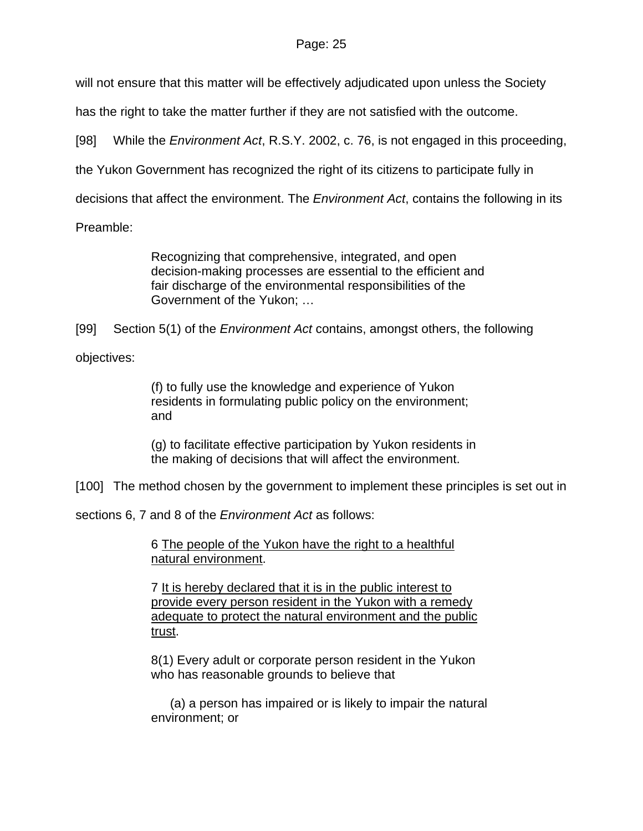### Page: 25

will not ensure that this matter will be effectively adjudicated upon unless the Society

has the right to take the matter further if they are not satisfied with the outcome.

[98] While the *Environment Act*, R.S.Y. 2002, c. 76, is not engaged in this proceeding,

the Yukon Government has recognized the right of its citizens to participate fully in

decisions that affect the environment. The *Environment Act*, contains the following in its

Preamble:

Recognizing that comprehensive, integrated, and open decision-making processes are essential to the efficient and fair discharge of the environmental responsibilities of the Government of the Yukon; …

[99] Section 5(1) of the *Environment Act* contains, amongst others, the following

objectives:

(f) to fully use the knowledge and experience of Yukon residents in formulating public policy on the environment; and

(g) to facilitate effective participation by Yukon residents in the making of decisions that will affect the environment.

[100] The method chosen by the government to implement these principles is set out in

sections 6, 7 and 8 of the *Environment Act* as follows:

6 The people of the Yukon have the right to a healthful natural environment.

7 It is hereby declared that it is in the public interest to provide every person resident in the Yukon with a remedy adequate to protect the natural environment and the public trust.

8(1) Every adult or corporate person resident in the Yukon who has reasonable grounds to believe that

(a) a person has impaired or is likely to impair the natural environment; or